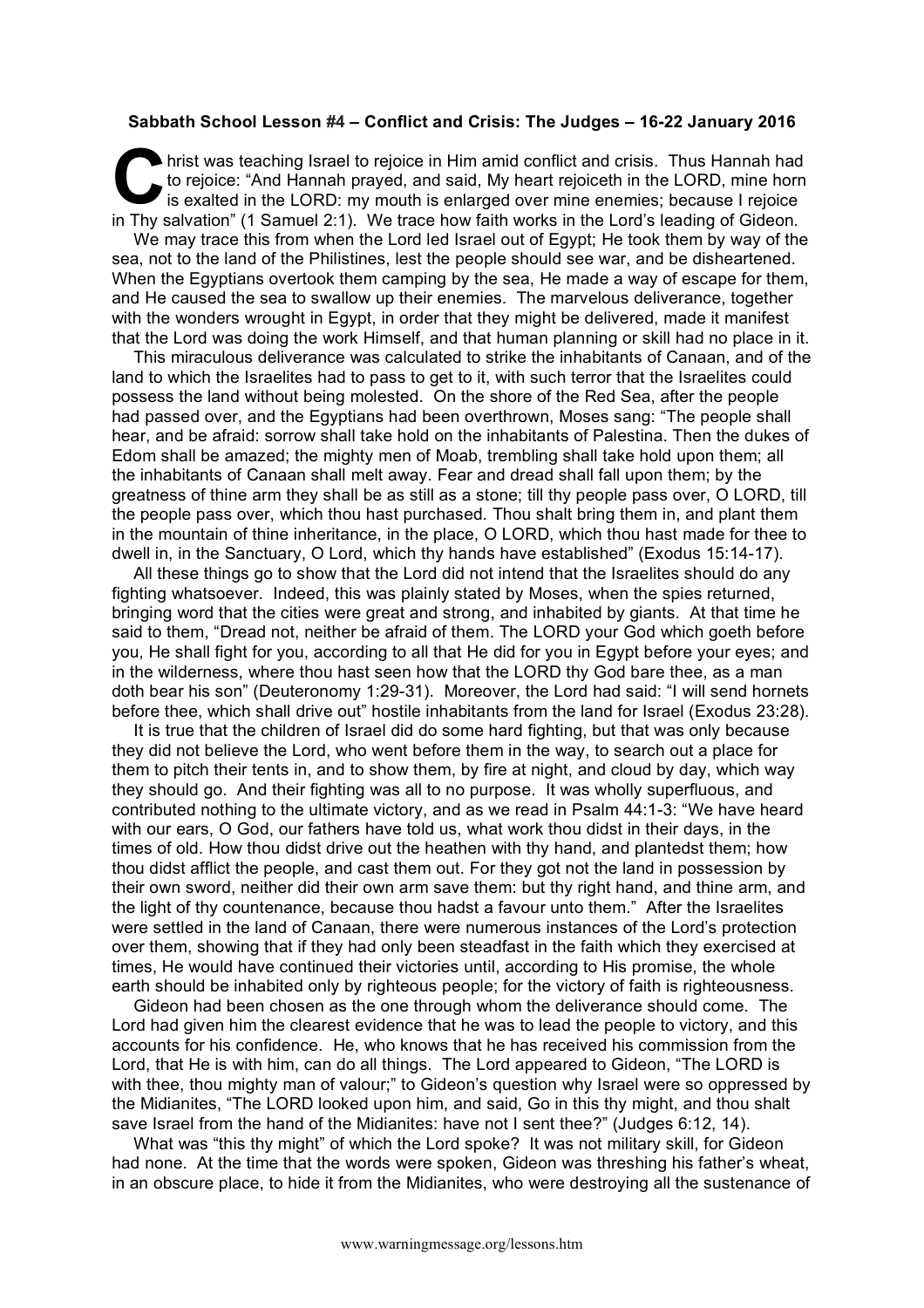## **Sabbath School Lesson #4 – Conflict and Crisis: The Judges – 16-22 January 2016**

hrist was teaching Israel to rejoice in Him amid conflict and crisis. Thus Hannah had to rejoice: "And Hannah prayed, and said, My heart rejoiceth in the LORD, mine horn is exalted in the LORD: my mouth is enlarged over mine enemies; because I rejoice in Thy salvation" (1 Samuel 2:1). We trace how faith works in the Lord's leading of Gideon. **C** to is

We may trace this from when the Lord led Israel out of Egypt; He took them by way of the sea, not to the land of the Philistines, lest the people should see war, and be disheartened. When the Egyptians overtook them camping by the sea. He made a way of escape for them, and He caused the sea to swallow up their enemies. The marvelous deliverance, together with the wonders wrought in Egypt, in order that they might be delivered, made it manifest that the Lord was doing the work Himself, and that human planning or skill had no place in it.

This miraculous deliverance was calculated to strike the inhabitants of Canaan, and of the land to which the Israelites had to pass to get to it, with such terror that the Israelites could possess the land without being molested. On the shore of the Red Sea, after the people had passed over, and the Egyptians had been overthrown, Moses sang: "The people shall hear, and be afraid: sorrow shall take hold on the inhabitants of Palestina. Then the dukes of Edom shall be amazed; the mighty men of Moab, trembling shall take hold upon them; all the inhabitants of Canaan shall melt away. Fear and dread shall fall upon them; by the greatness of thine arm they shall be as still as a stone; till thy people pass over, O LORD, till the people pass over, which thou hast purchased. Thou shalt bring them in, and plant them in the mountain of thine inheritance, in the place, O LORD, which thou hast made for thee to dwell in, in the Sanctuary, O Lord, which thy hands have established" (Exodus 15:14-17).

All these things go to show that the Lord did not intend that the Israelites should do any fighting whatsoever. Indeed, this was plainly stated by Moses, when the spies returned, bringing word that the cities were great and strong, and inhabited by giants. At that time he said to them, "Dread not, neither be afraid of them. The LORD your God which goeth before you, He shall fight for you, according to all that He did for you in Egypt before your eyes; and in the wilderness, where thou hast seen how that the LORD thy God bare thee, as a man doth bear his son" (Deuteronomy 1:29-31). Moreover, the Lord had said: "I will send hornets before thee, which shall drive out" hostile inhabitants from the land for Israel (Exodus 23:28).

It is true that the children of Israel did do some hard fighting, but that was only because they did not believe the Lord, who went before them in the way, to search out a place for them to pitch their tents in, and to show them, by fire at night, and cloud by day, which way they should go. And their fighting was all to no purpose. It was wholly superfluous, and contributed nothing to the ultimate victory, and as we read in Psalm 44:1-3: "We have heard with our ears, O God, our fathers have told us, what work thou didst in their days, in the times of old. How thou didst drive out the heathen with thy hand, and plantedst them; how thou didst afflict the people, and cast them out. For they got not the land in possession by their own sword, neither did their own arm save them: but thy right hand, and thine arm, and the light of thy countenance, because thou hadst a favour unto them." After the Israelites were settled in the land of Canaan, there were numerous instances of the Lord's protection over them, showing that if they had only been steadfast in the faith which they exercised at times, He would have continued their victories until, according to His promise, the whole earth should be inhabited only by righteous people; for the victory of faith is righteousness.

Gideon had been chosen as the one through whom the deliverance should come. The Lord had given him the clearest evidence that he was to lead the people to victory, and this accounts for his confidence. He, who knows that he has received his commission from the Lord, that He is with him, can do all things. The Lord appeared to Gideon, "The LORD is with thee, thou mighty man of valour;" to Gideon's question why Israel were so oppressed by the Midianites, "The LORD looked upon him, and said, Go in this thy might, and thou shalt save Israel from the hand of the Midianites: have not I sent thee?" (Judges 6:12, 14).

What was "this thy might" of which the Lord spoke? It was not military skill, for Gideon had none. At the time that the words were spoken, Gideon was threshing his father's wheat, in an obscure place, to hide it from the Midianites, who were destroying all the sustenance of